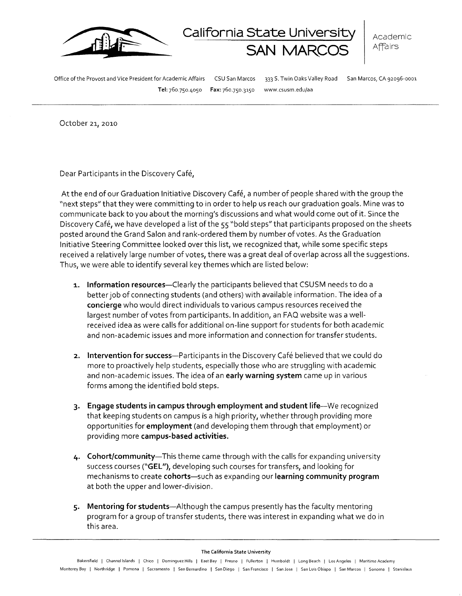

 $\sf{California State University \mid}_{\sf Academic}$ **SAN MARCOS** | Affairs

Office of the Provost and Vice President for Academic Affairs CSU San Marcos 333 S. Twin Oaks Valley Road San Marcos, CA 92096-0001

Tel: 760.750-4050 Fax: 760.750.3~50 www.csusm.edu/aa

October 21, 2010

Dear Participants in the Discovery Cafe,

At the end of our Graduation Initiative Discovery Cafe, a number of people shared with the group the "next steps" that they were committing to in order to help us reach our graduation goals. Mine was to communicate back to you about the morning's discussions and what would come out of it. Since the Discovery Café, we have developed a list of the 55 "bold steps" that participants proposed on the sheets posted around the Grand Salon and rank-ordered them by number of votes. As the Graduation Initiative Steering Committee looked over this list, we recognized that, while some specific steps received a relatively large number of votes, there was a great deal of overlap across all the suggestions. Thus, we were able to identify several key themes which are listed below:

- **1. Information resources**—Clearly the participants believed that CSUSM needs to do a better job of connecting students (and others) with available information. The idea of a **concierge** who would direct individuals to various campus resources received the largest number of votes from participants. In addition, an FAO website was a wellreceived idea as were calls for additional on-line support for students for both academic and non-academic issues and more information and connection for transfer students.
- **2.** Intervention for success--- Participants in the Discovery Café believed that we could do more to proactively help students, especially those who are struggling with academic and non-academic issues. The idea of an **early warning system** came up in various forms among the identified bold steps.
- **3· Engage students in campus through employment and student** life-We recognized that keeping students on campus is a high priority, whether through providing more opportunities for **employment** (and developing them through that employment) or providing more **campus-based activities.**
- **4· Cohort/community-**This theme came through with the calls for expanding university success courses **("GEL"),** developing such courses for transfers, and looking for mechanisms to create **cohorts**—such as expanding our **learning community program** at both the upper and lower-division.
- **5· Mentoring for** students-Although the campus presently has the faculty mentoring program for a group of transfer students, there was interest in expanding what we do in this area.

## The California State University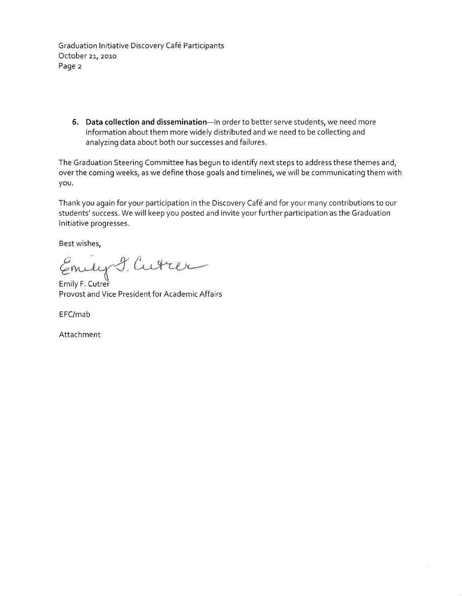Graduation Initiative Discovery Cafe Participants October 21, 2010 Page 2

**6.** Data collection and dissemination--- In order to better serve students, we need more information about them more widely distributed and we need to be collecting and analyzing data about both our successes and failures.

The Graduation Steering Committee has begun to identify next steps to address these themes and, over the coming weeks, as we define those goals and timelines, we will be communicating them with you.

Thank you again for your participation in the Discovery Cafe and for your many contributions to our students' success. We will keep you posted and invite your further participation as the Graduation Initiative progresses.

Best wishes,

mely I. Cutter

Emily F. Cutrer Provost and Vice President for Academic Affairs

EFC/mab

Attachment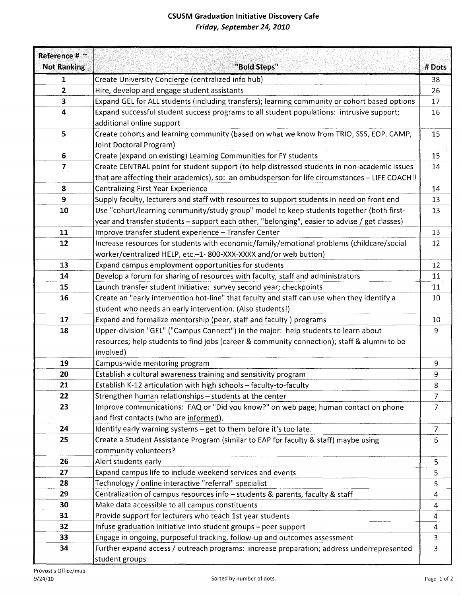## **CSUSM Graduation Initiative Discovery Cafe Friday, September 24, 2010**

| Reference # ~      |                                                                                                |                |
|--------------------|------------------------------------------------------------------------------------------------|----------------|
| <b>Not Ranking</b> | "Bold Steps"                                                                                   | # Dots         |
| 1                  | Create University Concierge (centralized info hub)                                             | 38             |
| 2                  | Hire, develop and engage student assistants                                                    | 26             |
| 3                  | Expand GEL for ALL students (including transfers); learning community or cohort based options  | 17             |
| 4                  | Expand successful student success programs to all student populations: intrusive support;      | 16             |
|                    | additional online support                                                                      |                |
| 5                  | Create cohorts and learning community (based on what we know from TRIO, SSS, EOP, CAMP,        | 15             |
|                    | Joint Doctoral Program)                                                                        |                |
| 6                  | Create (expand on existing) Learning Communities for FY students                               | 15             |
| $\overline{7}$     | Create CENTRAL point for student support (to help distressed students in non-academic issues   | 14             |
|                    | that are affecting their academics), so: an ombudsperson for life circumstances - LIFE COACH!! |                |
| 8                  | <b>Centralizing First Year Experience</b>                                                      | 14             |
| 9                  | Supply faculty, lecturers and staff with resources to support students in need on front end    | 13             |
| 10                 | Use "cohort/learning community/study group" model to keep students together (both first-       | 13             |
|                    | year and transfer students - support each other, "belonging", easier to advise / get classes)  |                |
| 11                 | Improve transfer student experience - Transfer Center                                          | 13             |
| 12                 | Increase resources for students with economic/family/emotional problems (childcare/social      | 12             |
|                    | worker/centralized HELP, etc.-1-800-XXX-XXXX and/or web button)                                |                |
| 13                 | Expand campus employment opportunities for students                                            | 12             |
| 14                 | Develop a forum for sharing of resources with faculty, staff and administrators                | 11             |
| 15                 | Launch transfer student initiative: survey second year; checkpoints                            | 11             |
| 16                 | Create an "early intervention hot-line" that faculty and staff can use when they identify a    | 10             |
|                    | student who needs an early intervention. (Also students!)                                      |                |
| 17                 | Expand and formalize mentorship (peer, staff and faculty) programs                             | 10             |
| 18                 |                                                                                                | 9              |
|                    | Upper-division "GEL" ("Campus Connect") in the major: help students to learn about             |                |
|                    | resources; help students to find jobs (career & community connection); staff & alumni to be    |                |
|                    | involved)                                                                                      |                |
| 19                 | Campus-wide mentoring program                                                                  | 9              |
| 20                 | Establish a cultural awareness training and sensitivity program                                | 9              |
| 21                 | Establish K-12 articulation with high schools - faculty-to-faculty                             | 8              |
| 22                 | Strengthen human relationships - students at the center                                        | $\overline{7}$ |
| 23                 | Improve communications: FAQ or "Did you know?" on web page; human contact on phone             | $\overline{7}$ |
|                    | and first contacts (who are informed).                                                         |                |
| 24                 | Identify early warning systems - get to them before it's too late.                             | $\overline{7}$ |
| 25                 | Create a Student Assistance Program (similar to EAP for faculty & staff) maybe using           | 6              |
|                    | community volunteers?                                                                          |                |
| 26                 | Alert students early                                                                           | 5              |
| 27                 | Expand campus life to include weekend services and events                                      | 5.             |
| 28                 | Technology / online interactive "referral" specialist                                          | 5              |
| 29                 | Centralization of campus resources info - students & parents, faculty & staff                  | 4              |
| 30                 | Make data accessible to all campus constituents                                                | $\overline{4}$ |
| 31                 | Provide support for lecturers who teach 1st year students                                      | 4              |
| 32                 | Infuse graduation initiative into student groups - peer support                                | 4              |
| 33                 | Engage in ongoing, purposeful tracking, follow-up and outcomes assessment                      | 3              |
| 34                 | Further expand access / outreach programs: increase preparation; address underrepresented      | 3              |
|                    | student groups                                                                                 |                |